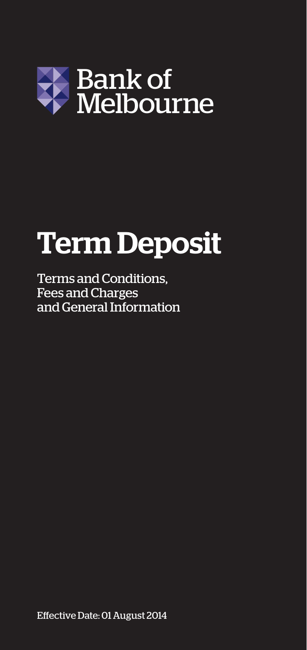

# Term Deposit

Terms and Conditions, Fees and Charges and General Information

Effective Date: 01 August 2014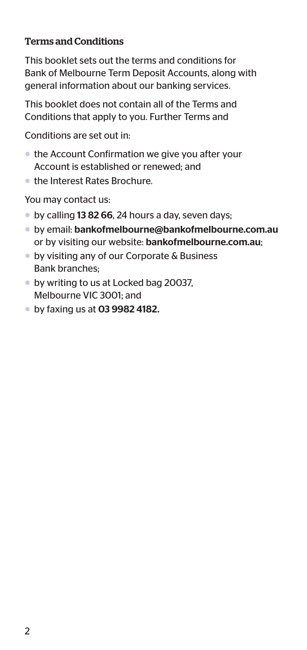#### Terms and Conditions

This booklet sets out the terms and conditions for Bank of Melbourne Term Deposit Accounts, along with general information about our banking services.

This booklet does not contain all of the Terms and Conditions that apply to you. Further Terms and

Conditions are set out in:

- the Account Confirmation we give you after your Account is established or renewed; and
- the Interest Rates Brochure.

You may contact us:

- by calling 13 82 66, 24 hours a day, seven days;
- by email: bankofmelbourne@bankofmelbourne.com.au or by visiting our website: bankofmelbourne.com.au;
- by visiting any of our Corporate & Business Bank branches;
- by writing to us at Locked bag 20037, Melbourne VIC 3001; and
- by faxing us at 03 9982 4182.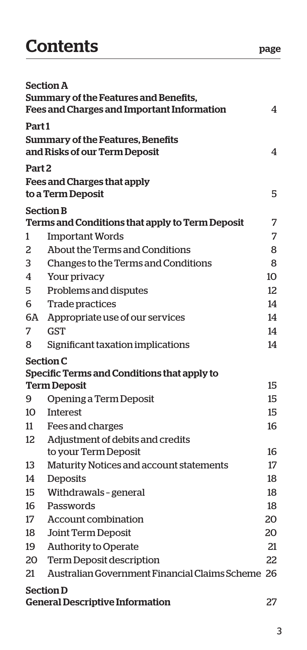# Contents **page**

|                   | <b>Section A</b><br>Summary of the Features and Benefits,<br><b>Fees and Charges and Important Information</b> | 4               |
|-------------------|----------------------------------------------------------------------------------------------------------------|-----------------|
| Part1             |                                                                                                                |                 |
|                   | Summary of the Features, Benefits<br>and Risks of our Term Deposit                                             | 4               |
| Part <sub>2</sub> |                                                                                                                |                 |
|                   | <b>Fees and Charges that apply</b><br>to a Term Deposit                                                        | 5               |
|                   | <b>Section B</b>                                                                                               |                 |
|                   | Terms and Conditions that apply to Term Deposit                                                                | 7               |
| 1                 | <b>Important Words</b>                                                                                         | 7               |
| 2                 | About the Terms and Conditions                                                                                 | 8               |
| 3                 | Changes to the Terms and Conditions                                                                            | 8               |
| 4                 | Your privacy                                                                                                   | 10 <sup>2</sup> |
| 5                 | Problems and disputes                                                                                          | 12              |
| 6                 | <b>Trade practices</b>                                                                                         | 14              |
| 6A                | Appropriate use of our services                                                                                | 14              |
| 7                 | <b>GST</b>                                                                                                     | 14              |
| 8                 | Significant taxation implications                                                                              | 14              |
|                   | <b>Section C</b>                                                                                               |                 |
|                   | Specific Terms and Conditions that apply to                                                                    |                 |
|                   | <b>Term Deposit</b>                                                                                            | 15              |
| 9                 | Opening a Term Deposit                                                                                         | 15              |
| 10                | <b>Interest</b>                                                                                                | 15              |
| 11                | Fees and charges                                                                                               | 16              |
| 12                | Adjustment of debits and credits                                                                               |                 |
| 13                | to your Term Deposit                                                                                           | 16<br>17        |
| 14                | Maturity Notices and account statements                                                                        | 18              |
| 15                | Deposits                                                                                                       | 18              |
| 16                | Withdrawals - general<br>Passwords                                                                             | 18              |
| 17                | Account combination                                                                                            | 20              |
| 18                | Joint Term Deposit                                                                                             | 20              |
| 19                | Authority to Operate                                                                                           | 21              |
| 20                | <b>Term Deposit description</b>                                                                                | 22              |
| 21                | Australian Government Financial Claims Scheme 26                                                               |                 |
|                   |                                                                                                                |                 |
|                   | <b>Section D</b><br><b>General Descriptive Information</b>                                                     | 27              |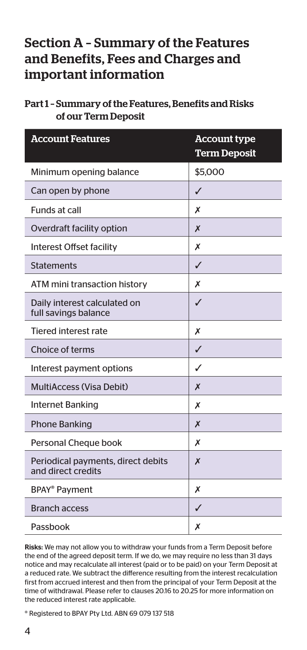## Section A – Summary of the Features and Benefits, Fees and Charges and important information

| Part 1 - Summary of the Features. Benefits and Risks |
|------------------------------------------------------|
| of our Term Deposit                                  |

| <b>Account Features</b>                                  | <b>Account type</b><br><b>Term Deposit</b> |
|----------------------------------------------------------|--------------------------------------------|
| Minimum opening balance                                  | \$5,000                                    |
| Can open by phone                                        | ✓                                          |
| Funds at call                                            | Х                                          |
| Overdraft facility option                                | X                                          |
| Interest Offset facility                                 | Х                                          |
| <b>Statements</b>                                        | ✓                                          |
| ATM mini transaction history                             | Х                                          |
| Daily interest calculated on<br>full savings balance     | ✓                                          |
| <b>Tiered interest rate</b>                              | х                                          |
| Choice of terms                                          | ✓                                          |
| Interest payment options                                 | J                                          |
| MultiAccess (Visa Debit)                                 | X                                          |
| <b>Internet Banking</b>                                  | Х                                          |
| <b>Phone Banking</b>                                     | X                                          |
| Personal Cheque book                                     | Х                                          |
| Periodical payments, direct debits<br>and direct credits | X                                          |
| BPAY <sup>®</sup> Payment                                | Х                                          |
| <b>Branch access</b>                                     | ✓                                          |
| Passbook                                                 | Х                                          |

Risks: We may not allow you to withdraw your funds from a Term Deposit before the end of the agreed deposit term. If we do, we may require no less than 31 days notice and may recalculate all interest (paid or to be paid) on your Term Deposit at a reduced rate. We subtract the difference resulting from the interest recalculation first from accrued interest and then from the principal of your Term Deposit at the time of withdrawal. Please refer to clauses 20.16 to 20.25 for more information on the reduced interest rate applicable.

® Registered to BPAY Pty Ltd. ABN 69 079 137 518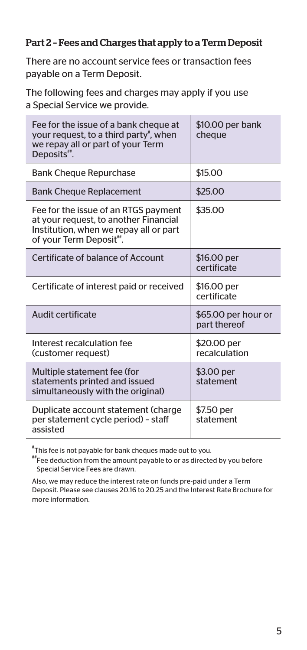#### Part 2 – Fees and Charges that apply to a Term Deposit

There are no account service fees or transaction fees payable on a Term Deposit.

The following fees and charges may apply if you use a Special Service we provide.

| Fee for the issue of a bank cheque at<br>your request, to a third party <sup>*</sup> , when<br>we repay all or part of your Term<br>Deposits".    | \$10.00 per bank<br>cheaue          |
|---------------------------------------------------------------------------------------------------------------------------------------------------|-------------------------------------|
| <b>Bank Cheque Repurchase</b>                                                                                                                     | \$15.00                             |
| <b>Bank Cheque Replacement</b>                                                                                                                    | \$25.00                             |
| Fee for the issue of an RTGS payment<br>at your request, to another Financial<br>Institution, when we repay all or part<br>of your Term Deposit". | \$35.00                             |
| Certificate of balance of Account                                                                                                                 | \$16.00 per<br>certificate          |
| Certificate of interest paid or received                                                                                                          | \$16.00 per<br>certificate          |
| Audit certificate                                                                                                                                 | \$65.00 per hour or<br>part thereof |
| Interest recalculation fee<br>(customer request)                                                                                                  | \$20.00 per<br>recalculation        |
| Multiple statement fee (for<br>statements printed and issued<br>simultaneously with the original)                                                 | \$3.00 per<br>statement             |
| Duplicate account statement (charge<br>per statement cycle period) - staff<br>assisted                                                            | \$7.50 per<br>statement             |

 $^\ast$ This fee is not payable for bank cheques made out to you.

##Fee deduction from the amount payable to or as directed by you before Special Service Fees are drawn.

Also, we may reduce the interest rate on funds pre-paid under a Term Deposit. Please see clauses 20.16 to 20.25 and the Interest Rate Brochure for more information.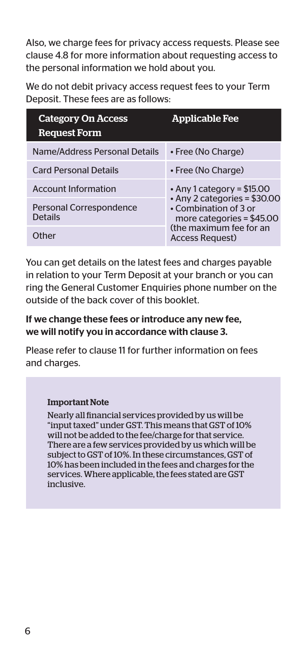Also, we charge fees for privacy access requests. Please see clause 4.8 for more information about requesting access to the personal information we hold about you.

We do not debit privacy access request fees to your Term Deposit. These fees are as follows:

| <b>Category On Access</b><br><b>Request Form</b> | <b>Applicable Fee</b>                                                                                                    |  |
|--------------------------------------------------|--------------------------------------------------------------------------------------------------------------------------|--|
| Name/Address Personal Details                    | • Free (No Charge)                                                                                                       |  |
| <b>Card Personal Details</b>                     | • Free (No Charge)                                                                                                       |  |
| <b>Account Information</b>                       | • Any 1 category = $$15.00$<br>$\cdot$ Any 2 categories = \$30.00<br>• Combination of 3 or<br>more categories = $$45.00$ |  |
| Personal Correspondence<br><b>Details</b>        |                                                                                                                          |  |
| <b>Other</b>                                     | (the maximum fee for an<br><b>Access Request</b> )                                                                       |  |

You can get details on the latest fees and charges payable in relation to your Term Deposit at your branch or you can ring the General Customer Enquiries phone number on the outside of the back cover of this booklet.

#### If we change these fees or introduce any new fee, we will notify you in accordance with clause 3.

Please refer to clause 11 for further information on fees and charges.

#### Important Note

Nearly all financial services provided by us will be "input taxed" under GST. This means that GST of 10% will not be added to the fee/charge for that service. There are a few services provided by us which will be subject to GST of 10%. In these circumstances, GST of 10% has been included in the fees and charges for the services. Where applicable, the fees stated are GST inclusive.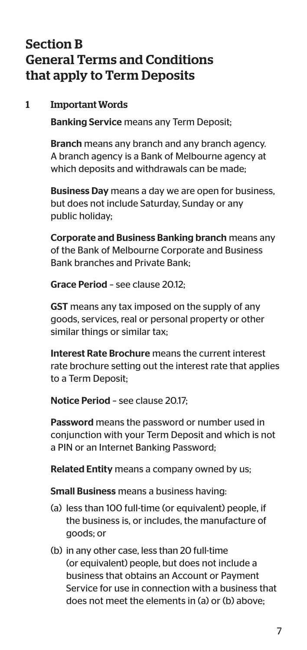## Section B General Terms and Conditions that apply to Term Deposits

#### 1 Important Words

Banking Service means any Term Deposit;

Branch means any branch and any branch agency. A branch agency is a Bank of Melbourne agency at which deposits and withdrawals can be made;

Business Day means a day we are open for business, but does not include Saturday, Sunday or any public holiday;

Corporate and Business Banking branch means any of the Bank of Melbourne Corporate and Business Bank branches and Private Bank;

Grace Period – see clause 20.12;

GST means any tax imposed on the supply of any goods, services, real or personal property or other similar things or similar tax;

Interest Rate Brochure means the current interest rate brochure setting out the interest rate that applies to a Term Deposit;

Notice Period – see clause 20.17;

Password means the password or number used in conjunction with your Term Deposit and which is not a PIN or an Internet Banking Password;

Related Entity means a company owned by us;

Small Business means a business having:

- (a) less than 100 full-time (or equivalent) people, if the business is, or includes, the manufacture of goods; or
- (b) in any other case, less than 20 full-time (or equivalent) people, but does not include a business that obtains an Account or Payment Service for use in connection with a business that does not meet the elements in (a) or (b) above;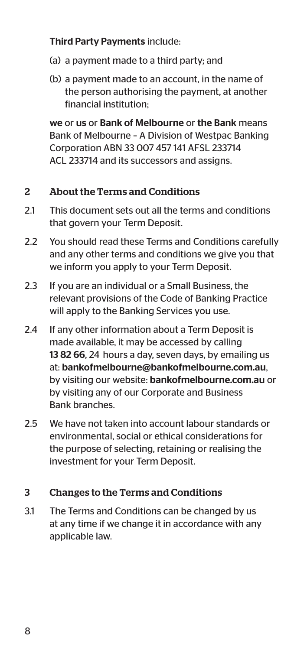#### Third Party Payments include:

- (a) a payment made to a third party; and
- (b) a payment made to an account, in the name of the person authorising the payment, at another financial institution;

we or us or Bank of Melbourne or the Bank means Bank of Melbourne – A Division of Westpac Banking Corporation ABN 33 007 457 141 AFSL 233714 ACL 233714 and its successors and assigns.

#### 2 About the Terms and Conditions

- 21 This document sets out all the terms and conditions that govern your Term Deposit.
- 2.2 You should read these Terms and Conditions carefully and any other terms and conditions we give you that we inform you apply to your Term Deposit.
- 2.3 If you are an individual or a Small Business, the relevant provisions of the Code of Banking Practice will apply to the Banking Services you use.
- 2.4 If any other information about a Term Deposit is made available, it may be accessed by calling 13 82 66, 24 hours a day, seven days, by emailing us at: bankofmelbourne@bankofmelbourne.com.au, by visiting our website: bankofmelbourne.com.au or by visiting any of our Corporate and Business Bank branches.
- 2.5 We have not taken into account labour standards or environmental, social or ethical considerations for the purpose of selecting, retaining or realising the investment for your Term Deposit.

#### 3 Changes to the Terms and Conditions

3.1 The Terms and Conditions can be changed by us at any time if we change it in accordance with any applicable law.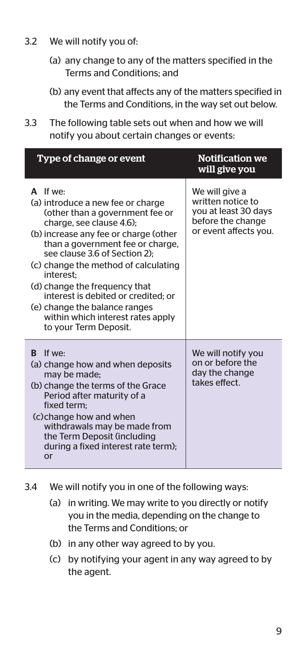- 3.2 We will notify you of:
	- (a) any change to any of the matters specified in the Terms and Conditions; and
	- (b) any event that affects any of the matters specified in the Terms and Conditions, in the way set out below.
- 3.3 The following table sets out when and how we will notify you about certain changes or events:

| Type of change or event                                                                                                                                                                                                                                                                                                                                                                                                                                | <b>Notification we</b><br>will give you                                                                   |
|--------------------------------------------------------------------------------------------------------------------------------------------------------------------------------------------------------------------------------------------------------------------------------------------------------------------------------------------------------------------------------------------------------------------------------------------------------|-----------------------------------------------------------------------------------------------------------|
| A If we:<br>(a) introduce a new fee or charge<br>(other than a government fee or<br>charge, see clause 4.6);<br>(b) increase any fee or charge (other<br>than a government fee or charge,<br>see clause 3.6 of Section 2):<br>(c) change the method of calculating<br>interest:<br>(d) change the frequency that<br>interest is debited or credited: or<br>(e) change the balance ranges<br>within which interest rates apply<br>to your Term Deposit. | We will give a<br>written notice to<br>you at least 30 days<br>before the change<br>or event affects you. |
| If we.<br>R<br>(a) change how and when deposits<br>may be made;<br>(b) change the terms of the Grace<br>Period after maturity of a<br>fixed term:<br>(c) change how and when<br>withdrawals may be made from<br>the Term Deposit (including<br>during a fixed interest rate term);<br>or                                                                                                                                                               | We will notify you<br>on or before the<br>day the change<br>takes effect.                                 |

- 3.4 We will notify you in one of the following ways:
	- (a) in writing. We may write to you directly or notify you in the media, depending on the change to the Terms and Conditions; or
	- (b) in any other way agreed to by you.
	- (c) by notifying your agent in any way agreed to by the agent.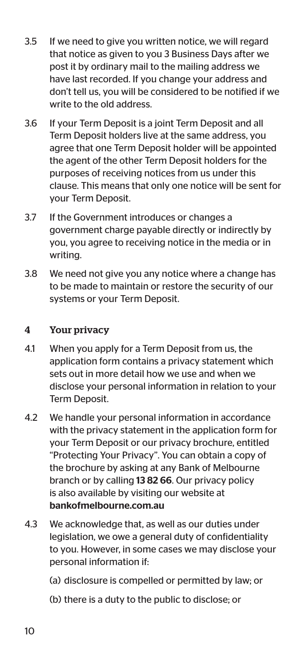- 3.5 If we need to give you written notice, we will regard that notice as given to you 3 Business Days after we post it by ordinary mail to the mailing address we have last recorded. If you change your address and don't tell us, you will be considered to be notified if we write to the old address.
- 3.6 If your Term Deposit is a joint Term Deposit and all Term Deposit holders live at the same address, you agree that one Term Deposit holder will be appointed the agent of the other Term Deposit holders for the purposes of receiving notices from us under this clause. This means that only one notice will be sent for your Term Deposit.
- 3.7 If the Government introduces or changes a government charge payable directly or indirectly by you, you agree to receiving notice in the media or in writing.
- 3.8 We need not give you any notice where a change has to be made to maintain or restore the security of our systems or your Term Deposit.

#### 4 Your privacy

- 4.1 When you apply for a Term Deposit from us, the application form contains a privacy statement which sets out in more detail how we use and when we disclose your personal information in relation to your Term Deposit.
- 4.2 We handle your personal information in accordance with the privacy statement in the application form for your Term Deposit or our privacy brochure, entitled "Protecting Your Privacy". You can obtain a copy of the brochure by asking at any Bank of Melbourne branch or by calling 13 82 66. Our privacy policy is also available by visiting our website at bankofmelbourne.com.au
- 4.3 We acknowledge that, as well as our duties under legislation, we owe a general duty of confidentiality to you. However, in some cases we may disclose your personal information if:
	- (a) disclosure is compelled or permitted by law; or
	- (b) there is a duty to the public to disclose; or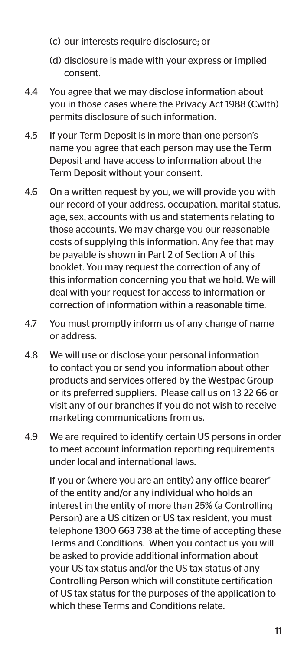- (c) our interests require disclosure; or
- (d) disclosure is made with your express or implied consent.
- 4.4 You agree that we may disclose information about you in those cases where the Privacy Act 1988 (Cwlth) permits disclosure of such information.
- 4.5 If your Term Deposit is in more than one person's name you agree that each person may use the Term Deposit and have access to information about the Term Deposit without your consent.
- 4.6 On a written request by you, we will provide you with our record of your address, occupation, marital status, age, sex, accounts with us and statements relating to those accounts. We may charge you our reasonable costs of supplying this information. Any fee that may be payable is shown in Part 2 of Section A of this booklet. You may request the correction of any of this information concerning you that we hold. We will deal with your request for access to information or correction of information within a reasonable time.
- 4.7 You must promptly inform us of any change of name or address.
- 4.8 We will use or disclose your personal information to contact you or send you information about other products and services offered by the Westpac Group or its preferred suppliers. Please call us on 13 22 66 or visit any of our branches if you do not wish to receive marketing communications from us.
- 4.9 We are required to identify certain US persons in order to meet account information reporting requirements under local and international laws.

 If you or (where you are an entity) any office bearer\* of the entity and/or any individual who holds an interest in the entity of more than 25% (a Controlling Person) are a US citizen or US tax resident, you must telephone 1300 663 738 at the time of accepting these Terms and Conditions. When you contact us you will be asked to provide additional information about your US tax status and/or the US tax status of any Controlling Person which will constitute certification of US tax status for the purposes of the application to which these Terms and Conditions relate.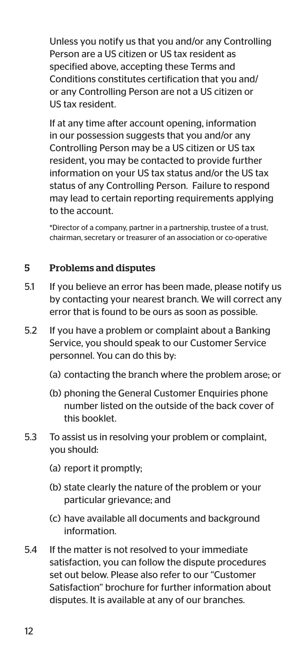Unless you notify us that you and/or any Controlling Person are a US citizen or US tax resident as specified above, accepting these Terms and Conditions constitutes certification that you and/ or any Controlling Person are not a US citizen or US tax resident.

 If at any time after account opening, information in our possession suggests that you and/or any Controlling Person may be a US citizen or US tax resident, you may be contacted to provide further information on your US tax status and/or the US tax status of any Controlling Person. Failure to respond may lead to certain reporting requirements applying to the account.

 \*Director of a company, partner in a partnership, trustee of a trust, chairman, secretary or treasurer of an association or co-operative

#### 5 Problems and disputes

- 5.1 If you believe an error has been made, please notify us by contacting your nearest branch. We will correct any error that is found to be ours as soon as possible.
- 5.2 If you have a problem or complaint about a Banking Service, you should speak to our Customer Service personnel. You can do this by:
	- (a) contacting the branch where the problem arose; or
	- (b) phoning the General Customer Enquiries phone number listed on the outside of the back cover of this booklet.
- 5.3 To assist us in resolving your problem or complaint, you should:
	- (a) report it promptly;
	- (b) state clearly the nature of the problem or your particular grievance; and
	- (c) have available all documents and background information.
- 5.4 If the matter is not resolved to your immediate satisfaction, you can follow the dispute procedures set out below. Please also refer to our "Customer Satisfaction" brochure for further information about disputes. It is available at any of our branches.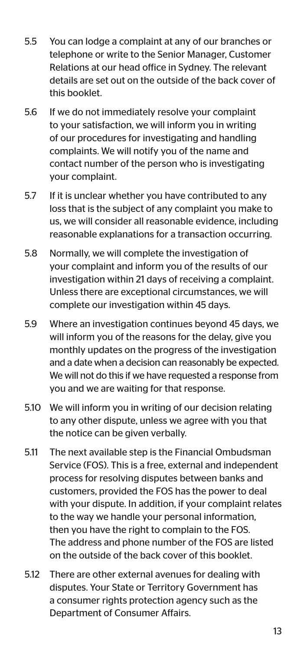- 5.5 You can lodge a complaint at any of our branches or telephone or write to the Senior Manager, Customer Relations at our head office in Sydney. The relevant details are set out on the outside of the back cover of this booklet.
- 5.6 If we do not immediately resolve your complaint to your satisfaction, we will inform you in writing of our procedures for investigating and handling complaints. We will notify you of the name and contact number of the person who is investigating your complaint.
- 5.7 If it is unclear whether you have contributed to any loss that is the subject of any complaint you make to us, we will consider all reasonable evidence, including reasonable explanations for a transaction occurring.
- 5.8 Normally, we will complete the investigation of your complaint and inform you of the results of our investigation within 21 days of receiving a complaint. Unless there are exceptional circumstances, we will complete our investigation within 45 days.
- 5.9 Where an investigation continues beyond 45 days, we will inform you of the reasons for the delay, give you monthly updates on the progress of the investigation and a date when a decision can reasonably be expected. We will not do this if we have requested a response from you and we are waiting for that response.
- 5.10 We will inform you in writing of our decision relating to any other dispute, unless we agree with you that the notice can be given verbally.
- 5.11 The next available step is the Financial Ombudsman Service (FOS). This is a free, external and independent process for resolving disputes between banks and customers, provided the FOS has the power to deal with your dispute. In addition, if your complaint relates to the way we handle your personal information, then you have the right to complain to the FOS. The address and phone number of the FOS are listed on the outside of the back cover of this booklet.
- 5.12 There are other external avenues for dealing with disputes. Your State or Territory Government has a consumer rights protection agency such as the Department of Consumer Affairs.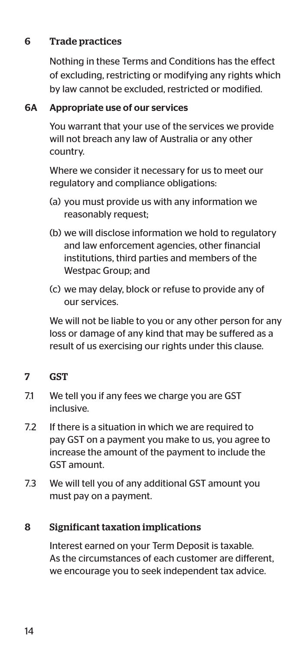#### 6 Trade practices

 Nothing in these Terms and Conditions has the effect of excluding, restricting or modifying any rights which by law cannot be excluded, restricted or modified.

#### 6A Appropriate use of our services

 You warrant that your use of the services we provide will not breach any law of Australia or any other country.

 Where we consider it necessary for us to meet our regulatory and compliance obligations:

- (a) you must provide us with any information we reasonably request;
- (b) we will disclose information we hold to regulatory and law enforcement agencies, other financial institutions, third parties and members of the Westpac Group; and
- (c) we may delay, block or refuse to provide any of our services.

 We will not be liable to you or any other person for any loss or damage of any kind that may be suffered as a result of us exercising our rights under this clause.

- 7 GST
- 7.1 We tell you if any fees we charge you are GST inclusive.
- 7.2 If there is a situation in which we are required to pay GST on a payment you make to us, you agree to increase the amount of the payment to include the GST amount.
- 7.3 We will tell you of any additional GST amount you must pay on a payment.

#### 8 Significant taxation implications

 Interest earned on your Term Deposit is taxable. As the circumstances of each customer are different, we encourage you to seek independent tax advice.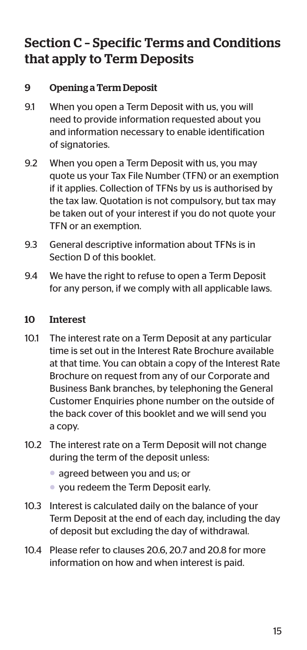# Section C – Specific Terms and Conditions that apply to Term Deposits

#### 9 Opening a Term Deposit

- 9.1 When you open a Term Deposit with us, you will need to provide information requested about you and information necessary to enable identification of signatories.
- 9.2 When you open a Term Deposit with us, you may quote us your Tax File Number (TFN) or an exemption if it applies. Collection of TFNs by us is authorised by the tax law. Quotation is not compulsory, but tax may be taken out of your interest if you do not quote your TFN or an exemption.
- 9.3 General descriptive information about TFNs is in Section D of this booklet.
- 9.4 We have the right to refuse to open a Term Deposit for any person, if we comply with all applicable laws.

#### 10 Interest

- 10.1 The interest rate on a Term Deposit at any particular time is set out in the Interest Rate Brochure available at that time. You can obtain a copy of the Interest Rate Brochure on request from any of our Corporate and Business Bank branches, by telephoning the General Customer Enquiries phone number on the outside of the back cover of this booklet and we will send you a copy.
- 10.2 The interest rate on a Term Deposit will not change during the term of the deposit unless:
	- agreed between you and us; or
	- you redeem the Term Deposit early.
- 10.3 Interest is calculated daily on the balance of your Term Deposit at the end of each day, including the day of deposit but excluding the day of withdrawal.
- 10.4 Please refer to clauses 20.6, 20.7 and 20.8 for more information on how and when interest is paid.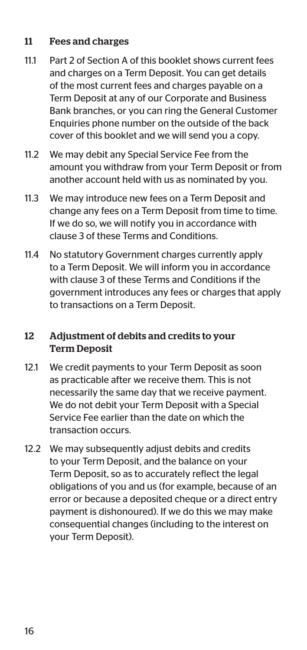#### 11 Fees and charges

- 11.1 Part 2 of Section A of this booklet shows current fees and charges on a Term Deposit. You can get details of the most current fees and charges payable on a Term Deposit at any of our Corporate and Business Bank branches, or you can ring the General Customer Enquiries phone number on the outside of the back cover of this booklet and we will send you a copy.
- 11.2 We may debit any Special Service Fee from the amount you withdraw from your Term Deposit or from another account held with us as nominated by you.
- 11.3 We may introduce new fees on a Term Deposit and change any fees on a Term Deposit from time to time. If we do so, we will notify you in accordance with clause 3 of these Terms and Conditions.
- 11.4 No statutory Government charges currently apply to a Term Deposit. We will inform you in accordance with clause 3 of these Terms and Conditions if the government introduces any fees or charges that apply to transactions on a Term Deposit.

#### 12 Adjustment of debits and credits to your Term Deposit

- 12.1 We credit payments to your Term Deposit as soon as practicable after we receive them. This is not necessarily the same day that we receive payment. We do not debit your Term Deposit with a Special Service Fee earlier than the date on which the transaction occurs.
- 12.2 We may subsequently adjust debits and credits to your Term Deposit, and the balance on your Term Deposit, so as to accurately reflect the legal obligations of you and us (for example, because of an error or because a deposited cheque or a direct entry payment is dishonoured). If we do this we may make consequential changes (including to the interest on your Term Deposit).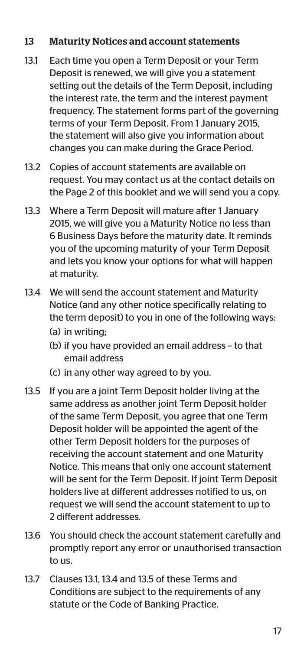#### 13 Maturity Notices and account statements

- 13.1 Each time you open a Term Deposit or your Term Deposit is renewed, we will give you a statement setting out the details of the Term Deposit, including the interest rate, the term and the interest payment frequency. The statement forms part of the governing terms of your Term Deposit. From 1 January 2015, the statement will also give you information about changes you can make during the Grace Period.
- 13.2 Copies of account statements are available on request. You may contact us at the contact details on the Page 2 of this booklet and we will send you a copy.
- 13.3 Where a Term Deposit will mature after 1 January 2015, we will give you a Maturity Notice no less than 6 Business Days before the maturity date. It reminds you of the upcoming maturity of your Term Deposit and lets you know your options for what will happen at maturity.
- 13.4 We will send the account statement and Maturity Notice (and any other notice specifically relating to the term deposit) to you in one of the following ways: (a) in writing;
	- (b) if you have provided an email address to that email address
	- (c) in any other way agreed to by you.
- 13.5 If you are a joint Term Deposit holder living at the same address as another joint Term Deposit holder of the same Term Deposit, you agree that one Term Deposit holder will be appointed the agent of the other Term Deposit holders for the purposes of receiving the account statement and one Maturity Notice. This means that only one account statement will be sent for the Term Deposit. If joint Term Deposit holders live at different addresses notified to us, on request we will send the account statement to up to 2 different addresses.
- 13.6 You should check the account statement carefully and promptly report any error or unauthorised transaction to us.
- 13.7 Clauses 13.1, 13.4 and 13.5 of these Terms and Conditions are subject to the requirements of any statute or the Code of Banking Practice.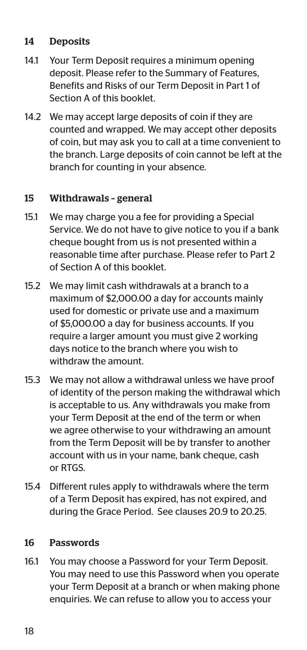#### 14 Deposits

- 14.1 Your Term Deposit requires a minimum opening deposit. Please refer to the Summary of Features, Benefits and Risks of our Term Deposit in Part 1 of Section A of this booklet.
- 14.2 We may accept large deposits of coin if they are counted and wrapped. We may accept other deposits of coin, but may ask you to call at a time convenient to the branch. Large deposits of coin cannot be left at the branch for counting in your absence.

#### 15 Withdrawals – general

- 15.1 We may charge you a fee for providing a Special Service. We do not have to give notice to you if a bank cheque bought from us is not presented within a reasonable time after purchase. Please refer to Part 2 of Section A of this booklet.
- 15.2 We may limit cash withdrawals at a branch to a maximum of \$2,000.00 a day for accounts mainly used for domestic or private use and a maximum of \$5,000.00 a day for business accounts. If you require a larger amount you must give 2 working days notice to the branch where you wish to withdraw the amount.
- 15.3 We may not allow a withdrawal unless we have proof of identity of the person making the withdrawal which is acceptable to us. Any withdrawals you make from your Term Deposit at the end of the term or when we agree otherwise to your withdrawing an amount from the Term Deposit will be by transfer to another account with us in your name, bank cheque, cash or RTGS.
- 15.4 Different rules apply to withdrawals where the term of a Term Deposit has expired, has not expired, and during the Grace Period. See clauses 20.9 to 20.25.

#### 16 Passwords

16.1 You may choose a Password for your Term Deposit. You may need to use this Password when you operate your Term Deposit at a branch or when making phone enquiries. We can refuse to allow you to access your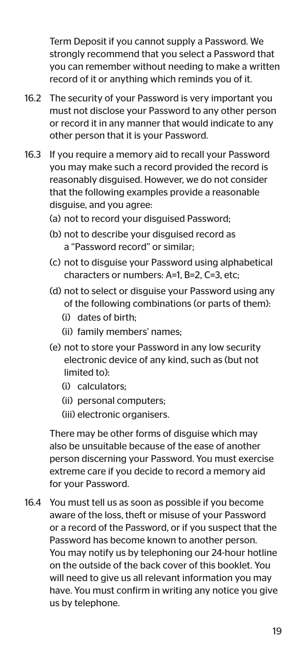Term Deposit if you cannot supply a Password. We strongly recommend that you select a Password that you can remember without needing to make a written record of it or anything which reminds you of it.

- 16.2 The security of your Password is very important you must not disclose your Password to any other person or record it in any manner that would indicate to any other person that it is your Password.
- 16.3 If you require a memory aid to recall your Password you may make such a record provided the record is reasonably disguised. However, we do not consider that the following examples provide a reasonable disguise, and you agree:
	- (a) not to record your disguised Password;
	- (b) not to describe your disguised record as a "Password record" or similar;
	- (c) not to disguise your Password using alphabetical characters or numbers: A=1, B=2, C=3, etc;
	- (d) not to select or disguise your Password using any of the following combinations (or parts of them):
		- (i) dates of birth;
		- (ii) family members' names;
	- (e) not to store your Password in any low security electronic device of any kind, such as (but not limited to):
		- (i) calculators;
		- (ii) personal computers;
		- (iii) electronic organisers.

 There may be other forms of disguise which may also be unsuitable because of the ease of another person discerning your Password. You must exercise extreme care if you decide to record a memory aid for your Password.

16.4 You must tell us as soon as possible if you become aware of the loss, theft or misuse of your Password or a record of the Password, or if you suspect that the Password has become known to another person. You may notify us by telephoning our 24-hour hotline on the outside of the back cover of this booklet. You will need to give us all relevant information you may have. You must confirm in writing any notice you give us by telephone.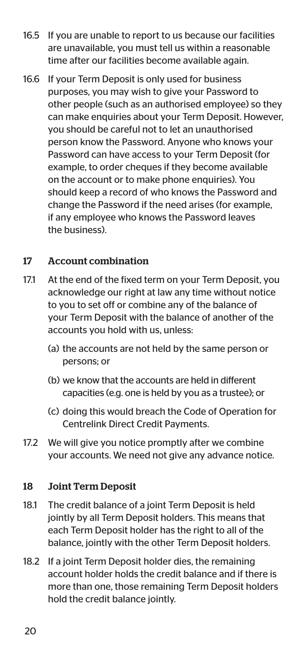- 16.5 If you are unable to report to us because our facilities are unavailable, you must tell us within a reasonable time after our facilities become available again.
- 16.6 If your Term Deposit is only used for business purposes, you may wish to give your Password to other people (such as an authorised employee) so they can make enquiries about your Term Deposit. However, you should be careful not to let an unauthorised person know the Password. Anyone who knows your Password can have access to your Term Deposit (for example, to order cheques if they become available on the account or to make phone enquiries). You should keep a record of who knows the Password and change the Password if the need arises (for example, if any employee who knows the Password leaves the business).

#### 17 Account combination

- 17.1 At the end of the fixed term on your Term Deposit, you acknowledge our right at law any time without notice to you to set off or combine any of the balance of your Term Deposit with the balance of another of the accounts you hold with us, unless:
	- (a) the accounts are not held by the same person or persons; or
	- (b) we know that the accounts are held in different capacities (e.g. one is held by you as a trustee); or
	- (c) doing this would breach the Code of Operation for Centrelink Direct Credit Payments.
- 17.2 We will give you notice promptly after we combine your accounts. We need not give any advance notice.

#### 18 Joint Term Deposit

- 18.1 The credit balance of a joint Term Deposit is held jointly by all Term Deposit holders. This means that each Term Deposit holder has the right to all of the balance, jointly with the other Term Deposit holders.
- 18.2 If a joint Term Deposit holder dies, the remaining account holder holds the credit balance and if there is more than one, those remaining Term Deposit holders hold the credit balance jointly.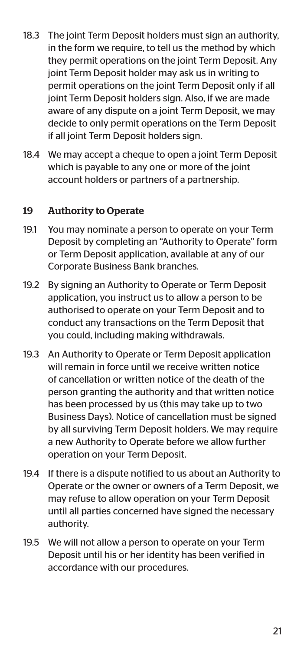- 18.3 The joint Term Deposit holders must sign an authority. in the form we require, to tell us the method by which they permit operations on the joint Term Deposit. Any joint Term Deposit holder may ask us in writing to permit operations on the joint Term Deposit only if all joint Term Deposit holders sign. Also, if we are made aware of any dispute on a joint Term Deposit, we may decide to only permit operations on the Term Deposit if all joint Term Deposit holders sign.
- 18.4 We may accept a cheque to open a joint Term Deposit which is payable to any one or more of the joint account holders or partners of a partnership.

#### 19 Authority to Operate

- 19.1 You may nominate a person to operate on your Term Deposit by completing an "Authority to Operate" form or Term Deposit application, available at any of our Corporate Business Bank branches.
- 19.2 By signing an Authority to Operate or Term Deposit application, you instruct us to allow a person to be authorised to operate on your Term Deposit and to conduct any transactions on the Term Deposit that you could, including making withdrawals.
- 19.3 An Authority to Operate or Term Deposit application will remain in force until we receive written notice of cancellation or written notice of the death of the person granting the authority and that written notice has been processed by us (this may take up to two Business Days). Notice of cancellation must be signed by all surviving Term Deposit holders. We may require a new Authority to Operate before we allow further operation on your Term Deposit.
- 19.4 If there is a dispute notified to us about an Authority to Operate or the owner or owners of a Term Deposit, we may refuse to allow operation on your Term Deposit until all parties concerned have signed the necessary authority.
- 19.5 We will not allow a person to operate on your Term Deposit until his or her identity has been verified in accordance with our procedures.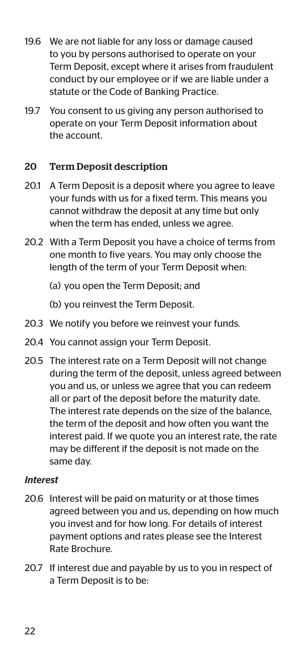- 19.6 We are not liable for any loss or damage caused to you by persons authorised to operate on your Term Deposit, except where it arises from fraudulent conduct by our employee or if we are liable under a statute or the Code of Banking Practice.
- 19.7 You consent to us giving any person authorised to operate on your Term Deposit information about the account.

#### 20 Term Deposit description

- 20.1 A Term Deposit is a deposit where you agree to leave your funds with us for a fixed term. This means you cannot withdraw the deposit at any time but only when the term has ended, unless we agree.
- 20.2 With a Term Deposit you have a choice of terms from one month to five years. You may only choose the length of the term of your Term Deposit when:
	- (a) you open the Term Deposit; and
	- (b) you reinvest the Term Deposit.
- 20.3 We notify you before we reinvest your funds.
- 20.4 You cannot assign your Term Deposit.
- 20.5 The interest rate on a Term Deposit will not change during the term of the deposit, unless agreed between you and us, or unless we agree that you can redeem all or part of the deposit before the maturity date. The interest rate depends on the size of the balance, the term of the deposit and how often you want the interest paid. If we quote you an interest rate, the rate may be different if the deposit is not made on the same day.

#### *Interest*

- 20.6 Interest will be paid on maturity or at those times agreed between you and us, depending on how much you invest and for how long. For details of interest payment options and rates please see the Interest Rate Brochure.
- 20.7 If interest due and payable by us to you in respect of a Term Deposit is to be: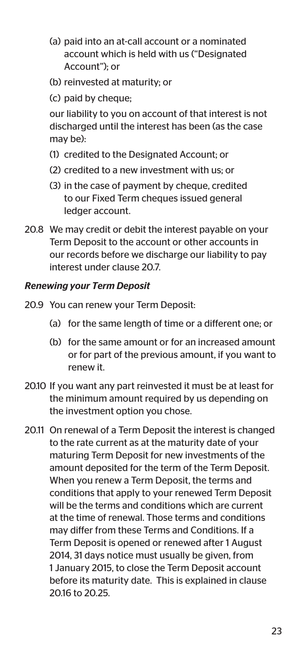- (a) paid into an at-call account or a nominated account which is held with us ("Designated Account"); or
- (b) reinvested at maturity; or
- (c) paid by cheque;

 our liability to you on account of that interest is not discharged until the interest has been (as the case may be):

- (1) credited to the Designated Account; or
- (2) credited to a new investment with us; or
- (3) in the case of payment by cheque, credited to our Fixed Term cheques issued general ledger account.
- 20.8 We may credit or debit the interest payable on your Term Deposit to the account or other accounts in our records before we discharge our liability to pay interest under clause 20.7.

#### *Renewing your Term Deposit*

- 20.9 You can renew your Term Deposit:
	- (a) for the same length of time or a different one; or
	- (b) for the same amount or for an increased amount or for part of the previous amount, if you want to renew it.
- 20.10 If you want any part reinvested it must be at least for the minimum amount required by us depending on the investment option you chose.
- 20.11 On renewal of a Term Deposit the interest is changed to the rate current as at the maturity date of your maturing Term Deposit for new investments of the amount deposited for the term of the Term Deposit. When you renew a Term Deposit, the terms and conditions that apply to your renewed Term Deposit will be the terms and conditions which are current at the time of renewal. Those terms and conditions may differ from these Terms and Conditions. If a Term Deposit is opened or renewed after 1 August 2014, 31 days notice must usually be given, from 1 January 2015, to close the Term Deposit account before its maturity date. This is explained in clause 20.16 to 20.25.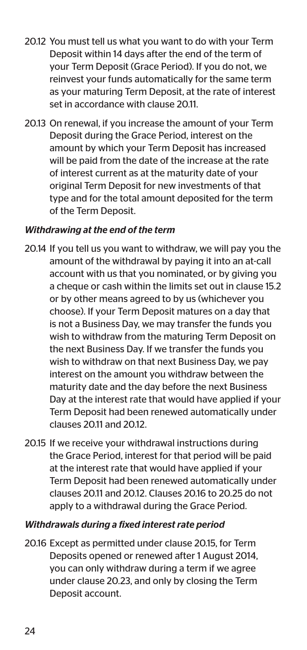- 20.12 You must tell us what you want to do with your Term Deposit within 14 days after the end of the term of your Term Deposit (Grace Period). If you do not, we reinvest your funds automatically for the same term as your maturing Term Deposit, at the rate of interest set in accordance with clause 20.11.
- 20.13 On renewal, if you increase the amount of your Term Deposit during the Grace Period, interest on the amount by which your Term Deposit has increased will be paid from the date of the increase at the rate of interest current as at the maturity date of your original Term Deposit for new investments of that type and for the total amount deposited for the term of the Term Deposit.

#### *Withdrawing at the end of the term*

- 20.14 If you tell us you want to withdraw, we will pay you the amount of the withdrawal by paying it into an at-call account with us that you nominated, or by giving you a cheque or cash within the limits set out in clause 15.2 or by other means agreed to by us (whichever you choose). If your Term Deposit matures on a day that is not a Business Day, we may transfer the funds you wish to withdraw from the maturing Term Deposit on the next Business Day. If we transfer the funds you wish to withdraw on that next Business Day, we pay interest on the amount you withdraw between the maturity date and the day before the next Business Day at the interest rate that would have applied if your Term Deposit had been renewed automatically under clauses 20.11 and 20.12.
- 20.15 If we receive your withdrawal instructions during the Grace Period, interest for that period will be paid at the interest rate that would have applied if your Term Deposit had been renewed automatically under clauses 20.11 and 20.12. Clauses 20.16 to 20.25 do not apply to a withdrawal during the Grace Period.

#### *Withdrawals during a fixed interest rate period*

20.16 Except as permitted under clause 20.15, for Term Deposits opened or renewed after 1 August 2014, you can only withdraw during a term if we agree under clause 20.23, and only by closing the Term Deposit account.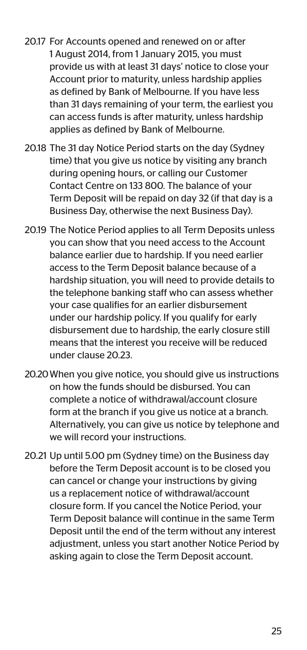- 20.17 For Accounts opened and renewed on or after 1 August 2014, from 1 January 2015, you must provide us with at least 31 days' notice to close your Account prior to maturity, unless hardship applies as defined by Bank of Melbourne. If you have less than 31 days remaining of your term, the earliest you can access funds is after maturity, unless hardship applies as defined by Bank of Melbourne.
- 20.18 The 31 day Notice Period starts on the day (Sydney time) that you give us notice by visiting any branch during opening hours, or calling our Customer Contact Centre on 133 800. The balance of your Term Deposit will be repaid on day 32 (if that day is a Business Day, otherwise the next Business Day).
- 20.19 The Notice Period applies to all Term Deposits unless you can show that you need access to the Account balance earlier due to hardship. If you need earlier access to the Term Deposit balance because of a hardship situation, you will need to provide details to the telephone banking staff who can assess whether your case qualifies for an earlier disbursement under our hardship policy. If you qualify for early disbursement due to hardship, the early closure still means that the interest you receive will be reduced under clause 20.23.
- 20.20 When you give notice, you should give us instructions on how the funds should be disbursed. You can complete a notice of withdrawal/account closure form at the branch if you give us notice at a branch. Alternatively, you can give us notice by telephone and we will record your instructions.
- 20.21 Up until 5.00 pm (Sydney time) on the Business day before the Term Deposit account is to be closed you can cancel or change your instructions by giving us a replacement notice of withdrawal/account closure form. If you cancel the Notice Period, your Term Deposit balance will continue in the same Term Deposit until the end of the term without any interest adjustment, unless you start another Notice Period by asking again to close the Term Deposit account.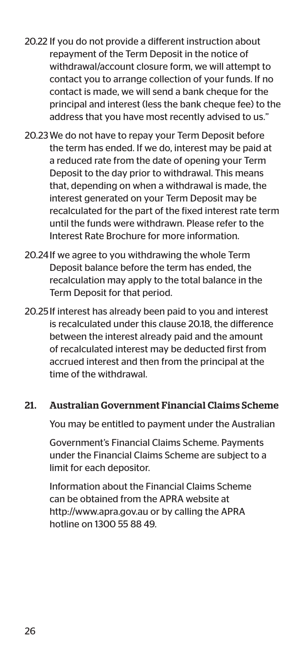- 20.22 If you do not provide a different instruction about repayment of the Term Deposit in the notice of withdrawal/account closure form, we will attempt to contact you to arrange collection of your funds. If no contact is made, we will send a bank cheque for the principal and interest (less the bank cheque fee) to the address that you have most recently advised to us."
- 20.23 We do not have to repay your Term Deposit before the term has ended. If we do, interest may be paid at a reduced rate from the date of opening your Term Deposit to the day prior to withdrawal. This means that, depending on when a withdrawal is made, the interest generated on your Term Deposit may be recalculated for the part of the fixed interest rate term until the funds were withdrawn. Please refer to the Interest Rate Brochure for more information.
- 20.24 If we agree to you withdrawing the whole Term Deposit balance before the term has ended, the recalculation may apply to the total balance in the Term Deposit for that period.
- 20.25 If interest has already been paid to you and interest is recalculated under this clause 20.18, the difference between the interest already paid and the amount of recalculated interest may be deducted first from accrued interest and then from the principal at the time of the withdrawal.

#### 21. Australian Government Financial Claims Scheme

You may be entitled to payment under the Australian

 Government's Financial Claims Scheme. Payments under the Financial Claims Scheme are subject to a limit for each depositor.

 Information about the Financial Claims Scheme can be obtained from the APRA website at http://www.apra.gov.au or by calling the APRA hotline on 1300 55 88 49.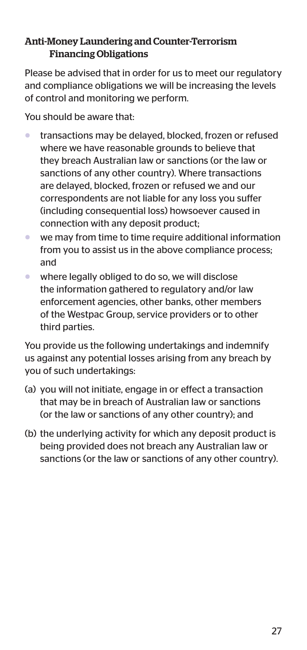#### Anti-Money Laundering and Counter-Terrorism Financing Obligations

Please be advised that in order for us to meet our regulatory and compliance obligations we will be increasing the levels of control and monitoring we perform.

You should be aware that:

- transactions may be delayed, blocked, frozen or refused where we have reasonable grounds to believe that they breach Australian law or sanctions (or the law or sanctions of any other country). Where transactions are delayed, blocked, frozen or refused we and our correspondents are not liable for any loss you suffer (including consequential loss) howsoever caused in connection with any deposit product;
- we may from time to time require additional information from you to assist us in the above compliance process; and
- where legally obliged to do so, we will disclose the information gathered to regulatory and/or law enforcement agencies, other banks, other members of the Westpac Group, service providers or to other third parties.

You provide us the following undertakings and indemnify us against any potential losses arising from any breach by you of such undertakings:

- (a) you will not initiate, engage in or effect a transaction that may be in breach of Australian law or sanctions (or the law or sanctions of any other country); and
- (b) the underlying activity for which any deposit product is being provided does not breach any Australian law or sanctions (or the law or sanctions of any other country).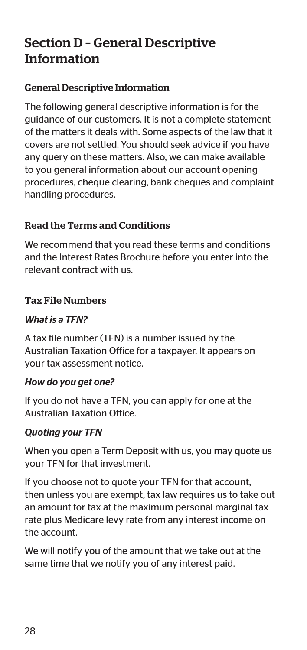# Section D – General Descriptive Information

#### General Descriptive Information

The following general descriptive information is for the guidance of our customers. It is not a complete statement of the matters it deals with. Some aspects of the law that it covers are not settled. You should seek advice if you have any query on these matters. Also, we can make available to you general information about our account opening procedures, cheque clearing, bank cheques and complaint handling procedures.

#### Read the Terms and Conditions

We recommend that you read these terms and conditions and the Interest Rates Brochure before you enter into the relevant contract with us.

#### Tax File Numbers

#### *What is a TFN?*

A tax file number (TFN) is a number issued by the Australian Taxation Office for a taxpayer. It appears on your tax assessment notice.

#### *How do you get one?*

If you do not have a TFN, you can apply for one at the Australian Taxation Office.

#### *Quoting your TFN*

When you open a Term Deposit with us, you may quote us your TFN for that investment.

If you choose not to quote your TFN for that account, then unless you are exempt, tax law requires us to take out an amount for tax at the maximum personal marginal tax rate plus Medicare levy rate from any interest income on the account.

We will notify you of the amount that we take out at the same time that we notify you of any interest paid.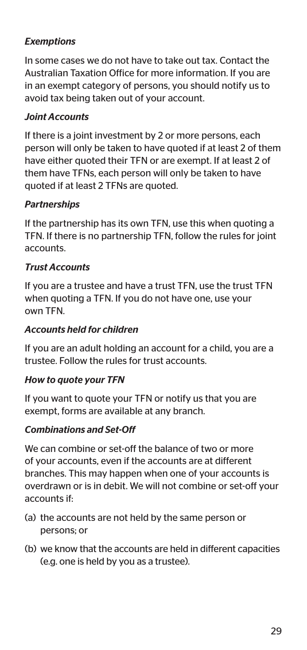#### *Exemptions*

In some cases we do not have to take out tax. Contact the Australian Taxation Office for more information. If you are in an exempt category of persons, you should notify us to avoid tax being taken out of your account.

#### *Joint Accounts*

If there is a joint investment by 2 or more persons, each person will only be taken to have quoted if at least 2 of them have either quoted their TFN or are exempt. If at least 2 of them have TFNs, each person will only be taken to have quoted if at least 2 TFNs are quoted.

#### *Partnerships*

If the partnership has its own TFN, use this when quoting a TFN. If there is no partnership TFN, follow the rules for joint accounts.

#### *Trust Accounts*

If you are a trustee and have a trust TFN, use the trust TFN when quoting a TFN. If you do not have one, use your own TFN.

#### *Accounts held for children*

If you are an adult holding an account for a child, you are a trustee. Follow the rules for trust accounts.

#### *How to quote your TFN*

If you want to quote your TFN or notify us that you are exempt, forms are available at any branch.

#### *Combinations and Set-Off*

We can combine or set-off the balance of two or more of your accounts, even if the accounts are at different branches. This may happen when one of your accounts is overdrawn or is in debit. We will not combine or set-off your accounts if:

- (a) the accounts are not held by the same person or persons; or
- (b) we know that the accounts are held in different capacities (e.g. one is held by you as a trustee).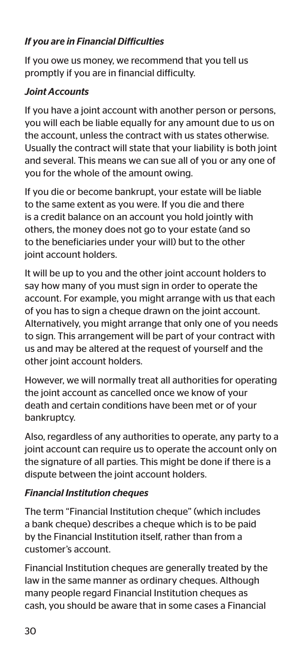#### *If you are in Financial Difficulties*

If you owe us money, we recommend that you tell us promptly if you are in financial difficulty.

#### *Joint Accounts*

If you have a joint account with another person or persons, you will each be liable equally for any amount due to us on the account, unless the contract with us states otherwise. Usually the contract will state that your liability is both joint and several. This means we can sue all of you or any one of you for the whole of the amount owing.

If you die or become bankrupt, your estate will be liable to the same extent as you were. If you die and there is a credit balance on an account you hold jointly with others, the money does not go to your estate (and so to the beneficiaries under your will) but to the other joint account holders.

It will be up to you and the other joint account holders to say how many of you must sign in order to operate the account. For example, you might arrange with us that each of you has to sign a cheque drawn on the joint account. Alternatively, you might arrange that only one of you needs to sign. This arrangement will be part of your contract with us and may be altered at the request of yourself and the other joint account holders.

However, we will normally treat all authorities for operating the joint account as cancelled once we know of your death and certain conditions have been met or of your bankruptcy.

Also, regardless of any authorities to operate, any party to a joint account can require us to operate the account only on the signature of all parties. This might be done if there is a dispute between the joint account holders.

#### *Financial Institution cheques*

The term "Financial Institution cheque" (which includes a bank cheque) describes a cheque which is to be paid by the Financial Institution itself, rather than from a customer's account.

Financial Institution cheques are generally treated by the law in the same manner as ordinary cheques. Although many people regard Financial Institution cheques as cash, you should be aware that in some cases a Financial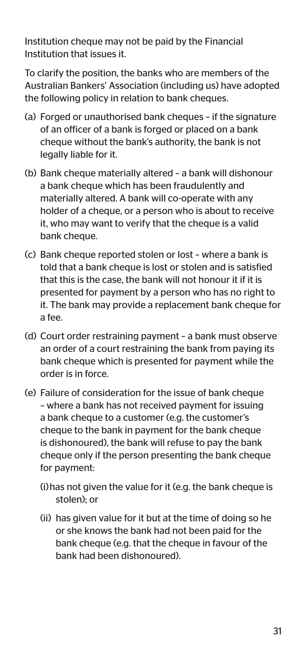Institution cheque may not be paid by the Financial Institution that issues it.

To clarify the position, the banks who are members of the Australian Bankers' Association (including us) have adopted the following policy in relation to bank cheques.

- (a) Forged or unauthorised bank cheques if the signature of an officer of a bank is forged or placed on a bank cheque without the bank's authority, the bank is not legally liable for it.
- (b) Bank cheque materially altered a bank will dishonour a bank cheque which has been fraudulently and materially altered. A bank will co-operate with any holder of a cheque, or a person who is about to receive it, who may want to verify that the cheque is a valid bank cheque.
- (c) Bank cheque reported stolen or lost where a bank is told that a bank cheque is lost or stolen and is satisfied that this is the case, the bank will not honour it if it is presented for payment by a person who has no right to it. The bank may provide a replacement bank cheque for a fee.
- (d) Court order restraining payment a bank must observe an order of a court restraining the bank from paying its bank cheque which is presented for payment while the order is in force.
- (e) Failure of consideration for the issue of bank cheque – where a bank has not received payment for issuing a bank cheque to a customer (e.g. the customer's cheque to the bank in payment for the bank cheque is dishonoured), the bank will refuse to pay the bank cheque only if the person presenting the bank cheque for payment:
	- (i) has not given the value for it (e.g. the bank cheque is stolen); or
	- (ii) has given value for it but at the time of doing so he or she knows the bank had not been paid for the bank cheque (e.g. that the cheque in favour of the bank had been dishonoured).